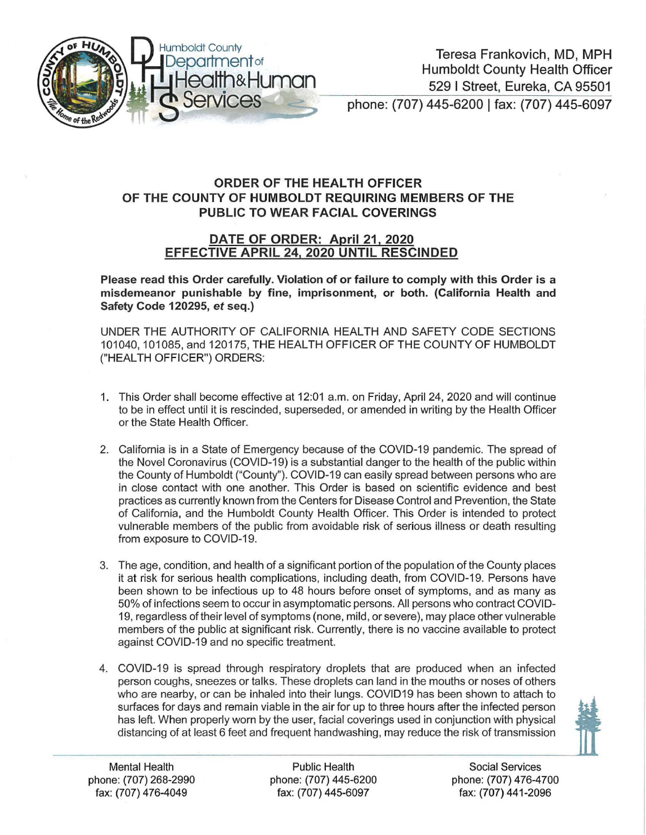

## ORDER OF THE HEALTH OFFICER OF THE COUNTY OF HUMBOLDT REQUIRING MEMBERS OF THE PUBLIC TO WEAR FACIAL COVERINGS

## DATE OF ORDER: April 21, 2020 EFFECTIVE APRIL 24, 2020 UNTIL RESCINDED

Please read this Order carefully. Violation of or failure to comply with this Order is a misdemeanor punishable by fine, imprisonment, or both. (California Health and Safety Code 120295, *et* seq.)

UNDER THE AUTHORITY OF CALIFORNIA HEALTH AND SAFETY CODE SECTIONS 101040, 101085, and 120175, THE HEALTH OFFICER OF THE COUNTY OF HUMBOLDT ("HEAL TH OFFICER") ORDERS:

- 1. This Order shall become effective at 12:01 a.m. on Friday, April 24, 2020 and will continue to be in effect until it is rescinded, superseded, or amended in writing by the Health Officer or the State Health Officer.
- 2. California is in a State of Emergency because of the COVID-19 pandemic. The spread of the Novel Coronavirus (COVID-19) is a substantial danger to the health of the public within the County of Humboldt ("County"). COVID-19 can easily spread between persons who are in close contact with one another. This Order is based on scientific evidence and best practices as currently known from the Centers for Disease Control and Prevention, the State of California, and the Humboldt County Health Officer. This Order is intended to protect vulnerable members of the public from avoidable risk of serious illness or death resulting from exposure to COVID-19.
- 3. The age, condition, and health of a significant portion of the population of the County places it at risk for serious health complications, including death, from COVID-19. Persons have been shown to be infectious up to 48 hours before onset of symptoms, and as many as 50% of infections seem to occur in asymptomatic persons. All persons who contract COVID-19, regardless oftheir level of symptoms (none, mild, or severe), may place other vulnerable members of the public at significant risk. Currently, there is no vaccine available to protect against COVID-19 and no specific treatment.
- 4. COVID-19 is spread through respiratory droplets that are produced when an infected person coughs, sneezes or talks. These droplets can land in the mouths or noses of others who are nearby, or can be inhaled into their lungs. COVID19 has been shown to attach to surfaces for days and remain viable in the air for up to three hours after the infected person has left. When properly worn by the user, facial coverings used in conjunction with physical distancing of at least 6 feet and frequent handwashing, may reduce the risk of transmission



Mental Health Public Health Social Services phone: (707) 268-2990 phone: (707) 445-6200 phone: (707) 476-4700 fax: (707) 476-4049 fax: (707) 445-6097 fax: (707) 441-2096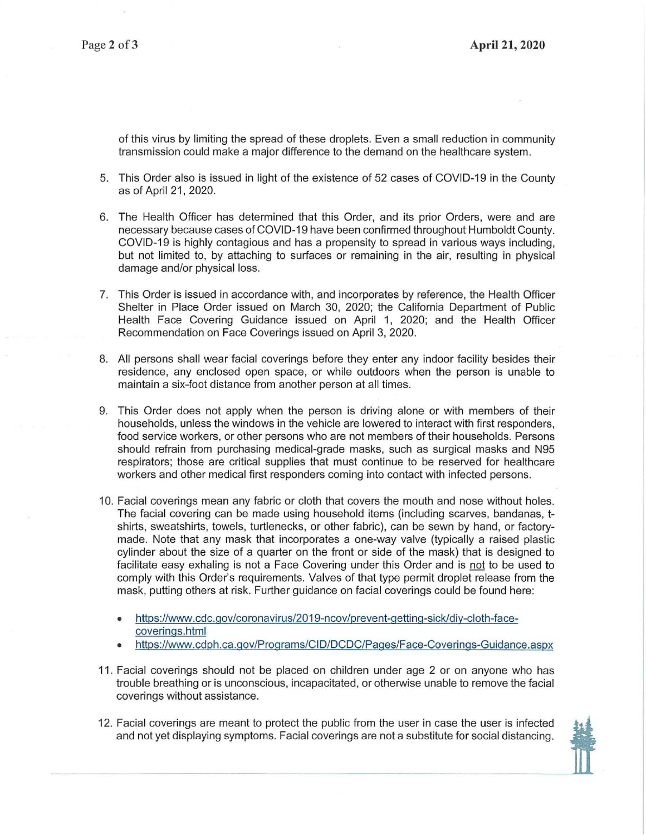of this virus by limiting the spread of these droplets. Even a small reduction in community transmission could make a major difference to the demand on the healthcare system.

- 5. This Order also is issued in light of the existence of 52 cases of COVID-19 in the County as of April 21, 2020.
- 6. The Health Officer has determined that this Order, and its prior Orders, were and are necessary because cases of COVID-19 have been confirmed throughout Humboldt County. COVID-19 is highly contagious and has a propensity to spread in various ways including, but not limited to, by attaching to surfaces or remaining in the air, resulting in physical damage and/or physical loss.
- 7. This Order is issued in accordance with, and incorporates by reference, the Health Officer Shelter in Place Order issued on March 30, 2020; the California Department of Public Health Face Covering Guidance issued on April 1, 2020; and the Health Officer Recommendation on Face Coverings issued on April 3, 2020.
- 8. All persons shall wear facial coverings before they enter any indoor facility besides their residence, any enclosed open space, or while outdoors when the person is unable to maintain a six-foot distance from another person at all times.
- 9. This Order does not apply when the person is driving alone or with members of their households, unless the windows in the vehicle are lowered to interact with first responders, food service workers, or other persons who are not members of their households. Persons should refrain from purchasing medical-grade masks, such as surgical masks and N95 respirators; those are critical supplies that must continue to be reserved for healthcare workers and other medical first responders coming into contact with infected persons.
- 10. Facial coverings mean any fabric or cloth that covers the mouth and nose without holes. The facial covering can be made using household items (including scarves, bandanas, tshirts, sweatshirts, towels, turtlenecks, or other fabric), can be sewn by hand, or factorymade. Note that any mask that incorporates a one-way valve (typically a raised plastic cylinder about the size of a quarter on the front or side of the mask) that is designed to facilitate easy exhaling is not a Face Covering under this Order and is not to be used to comply with this Order's requirements. Valves of that type permit droplet release from the mask, putting others at risk. Further guidance on facial coverings could be found here:
	- https://www.cdc.gov/coronavirus/2019-ncov/prevent-getting-sick/diy-cloth-facecoverings.html
	- https://www.cdph.ca.gov/Programs/CID/DCDC/Pages/Face-Coverings-Guidance.aspx
- 11 . Facial coverings should not be placed on children under age 2 or on anyone who has trouble breathing or is unconscious, incapacitated, or otherwise unable to remove the facial coverings without assistance.
- 12. Facial coverings are meant to protect the public from the user in case the user is infected and not yet displaying symptoms. Facial coverings are not a substitute for social distancing.